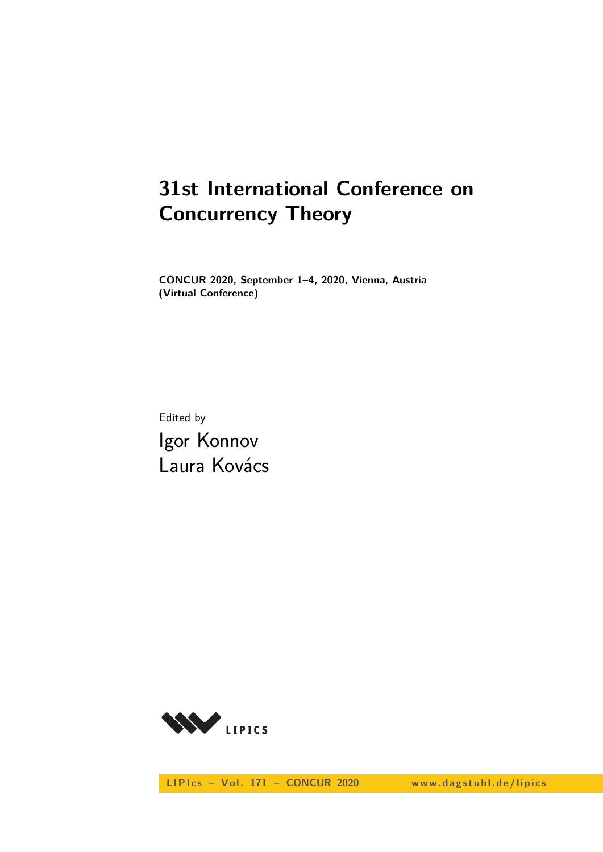# **31st International Conference on Concurrency Theory**

**CONCUR 2020, September 1–4, 2020, Vienna, Austria (Virtual Conference)**

Edited by Igor Konnov Laura Kovács



LIPIcs - Vol. 171 - CONCUR 2020 www.dagstuhl.de/lipics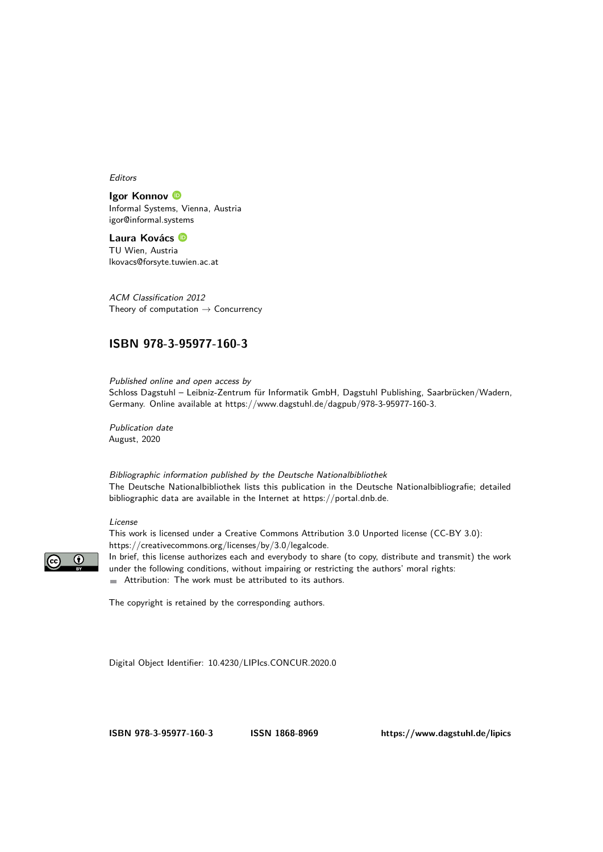Editors

#### **Igor Konnov**

Informal Systems, Vienna, Austria [igor@informal.systems](mailto:igor@informal.systems)

**Laura Kovács** TU Wien, Austria [lkovacs@forsyte.tuwien.ac.at](mailto:lkovacs@forsyte.tuwien.ac.at)

ACM Classification 2012 Theory of computation  $\rightarrow$  Concurrency

#### **[ISBN 978-3-95977-160-3](https://www.dagstuhl.de/dagpub/978-3-95977-160-3)**

Published online and open access by Schloss Dagstuhl – Leibniz-Zentrum für Informatik GmbH, Dagstuhl Publishing, Saarbrücken/Wadern, Germany. Online available at [https://www.dagstuhl.de/dagpub/978-3-95977-160-3.](https://www.dagstuhl.de/dagpub/978-3-95977-160-3)

Publication date August, 2020

Bibliographic information published by the Deutsche Nationalbibliothek The Deutsche Nationalbibliothek lists this publication in the Deutsche Nationalbibliografie; detailed bibliographic data are available in the Internet at [https://portal.dnb.de.](https://portal.dnb.de)

#### License

This work is licensed under a Creative Commons Attribution 3.0 Unported license (CC-BY 3.0): [https://creativecommons.org/licenses/by/3.0/legalcode.](https://creativecommons.org/licenses/by/3.0/legalcode)



In brief, this license authorizes each and everybody to share (to copy, distribute and transmit) the work under the following conditions, without impairing or restricting the authors' moral rights: Attribution: The work must be attributed to its authors.

The copyright is retained by the corresponding authors.

Digital Object Identifier: [10.4230/LIPIcs.CONCUR.2020.0](https://doi.org/10.4230/LIPIcs.CONCUR.2020.0)

**[ISBN 978-3-95977-160-3](https://www.dagstuhl.de/dagpub/978-3-95977-160-3) [ISSN 1868-8969](https://www.dagstuhl.de/dagpub/1868-8969)<https://www.dagstuhl.de/lipics>**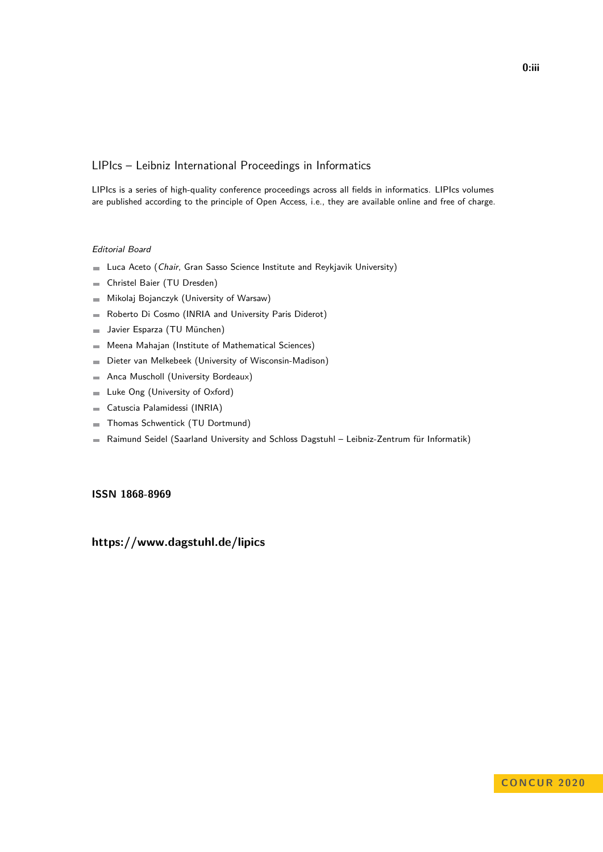#### LIPIcs – Leibniz International Proceedings in Informatics

LIPIcs is a series of high-quality conference proceedings across all fields in informatics. LIPIcs volumes are published according to the principle of Open Access, i.e., they are available online and free of charge.

#### Editorial Board

- **Luca Aceto** (*Chair*, Gran Sasso Science Institute and Reykjavik University)
- Christel Baier (TU Dresden)  $\equiv$
- Mikolaj Bojanczyk (University of Warsaw)  $\sim$
- Roberto Di Cosmo (INRIA and University Paris Diderot)  $\equiv$
- Javier Esparza (TU München)  $\sim$
- Meena Mahajan (Institute of Mathematical Sciences)  $\blacksquare$
- Dieter van Melkebeek (University of Wisconsin-Madison)  $\blacksquare$
- Anca Muscholl (University Bordeaux)  $\overline{a}$
- Luke Ong (University of Oxford)  $\blacksquare$
- Catuscia Palamidessi (INRIA)  $\blacksquare$
- Thomas Schwentick (TU Dortmund)  $\sim$
- Raimund Seidel (Saarland University and Schloss Dagstuhl Leibniz-Zentrum für Informatik)  $\blacksquare$

#### **[ISSN 1868-8969](https://www.dagstuhl.de/dagpub/1868-8969)**

#### **<https://www.dagstuhl.de/lipics>**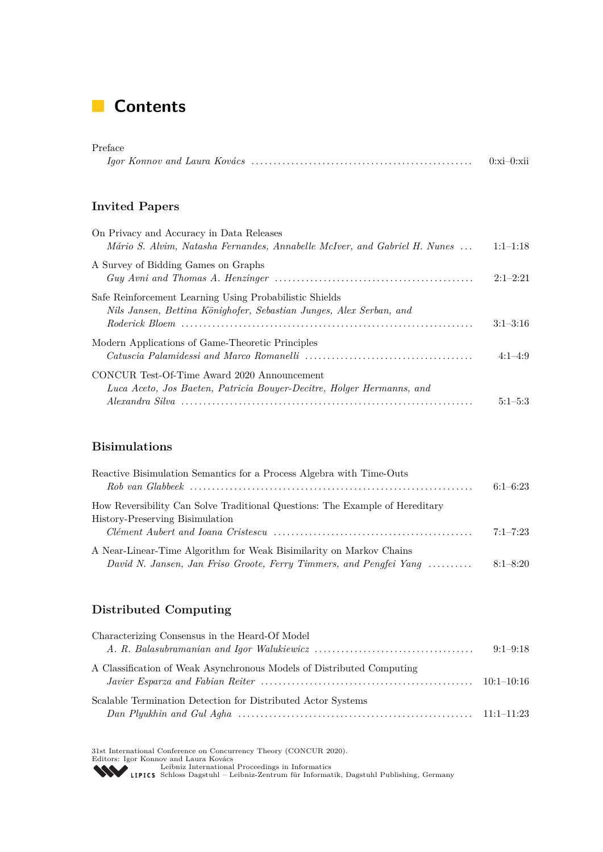# **Contents**

#### Preface *Igor Konnov and Laura Kovács* . . . . . . . . . . . . . . . . . . . . . . . . . . . . . . . . . . . . . . . . . . . . . . . . . . 0[:xi–](#page-10-0)0[:xii](#page-10-0)

#### **Invited Papers**

| On Privacy and Accuracy in Data Releases<br>Mário S. Alvim, Natasha Fernandes, Annabelle McIver, and Gabriel H. Nunes          | $1:1-1:18$ |
|--------------------------------------------------------------------------------------------------------------------------------|------------|
| A Survey of Bidding Games on Graphs                                                                                            | $2:1-2:21$ |
| Safe Reinforcement Learning Using Probabilistic Shields<br>Nils Jansen, Bettina Könighofer, Sebastian Junges, Alex Serban, and | $3:1-3:16$ |
| Modern Applications of Game-Theoretic Principles                                                                               | $4:1-4:9$  |
| CONCUR Test-Of-Time Award 2020 Announcement<br>Luca Aceto, Jos Baeten, Patricia Bouyer-Decitre, Holger Hermanns, and           | $5:1-5:3$  |

#### **Bisimulations**

| Reactive Bisimulation Semantics for a Process Algebra with Time-Outs         |              |
|------------------------------------------------------------------------------|--------------|
|                                                                              | $6:1-6:23$   |
| How Reversibility Can Solve Traditional Questions: The Example of Hereditary |              |
| History-Preserving Bisimulation                                              |              |
|                                                                              | $7:1 - 7:23$ |
| A Near-Linear-Time Algorithm for Weak Bisimilarity on Markov Chains          |              |
| David N. Jansen, Jan Friso Groote, Ferry Timmers, and Pengfei Yang           | $8:1 - 8:20$ |

### **Distributed Computing**

| Characterizing Consensus in the Heard-Of Model                        |            |
|-----------------------------------------------------------------------|------------|
|                                                                       | $9:1-9:18$ |
| A Classification of Weak Asynchronous Models of Distributed Computing |            |
| Scalable Termination Detection for Distributed Actor Systems          |            |

31st International Conference on Concurrency Theory (CONCUR 2020).<br>Editors: Igor Konnov and Laura Kovács<br>[Leibniz International Proceedings in Informatics](https://www.dagstuhl.de/lipics/)<br>LIPICS Schloss Dagstuhl – Leibniz-Zentrum für Informatik, Dagstuhl P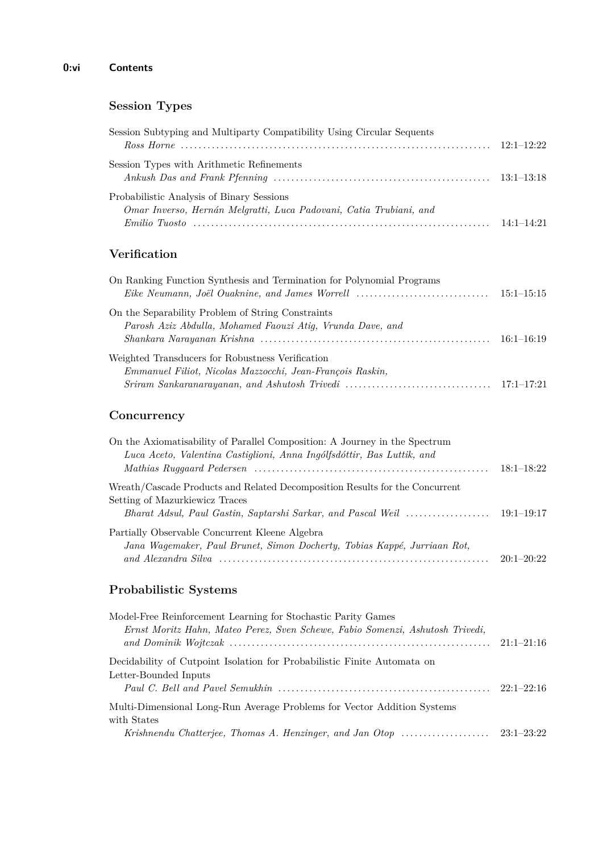# **Session Types**

| Session Subtyping and Multiparty Compatibility Using Circular Sequents                                          |                |
|-----------------------------------------------------------------------------------------------------------------|----------------|
| Session Types with Arithmetic Refinements                                                                       |                |
| Probabilistic Analysis of Binary Sessions<br>Omar Inverso, Hernán Melgratti, Luca Padovani, Catia Trubiani, and |                |
|                                                                                                                 | $14.1 - 14.21$ |

## **Verification**

| On Ranking Function Synthesis and Termination for Polynomial Programs |              |
|-----------------------------------------------------------------------|--------------|
|                                                                       |              |
| On the Separability Problem of String Constraints                     |              |
| Parosh Aziz Abdulla, Mohamed Faouzi Atig, Vrunda Dave, and            |              |
|                                                                       | $16:1-16:19$ |
| Weighted Transducers for Robustness Verification                      |              |
| Emmanuel Filiot, Nicolas Mazzocchi, Jean-François Raskin,             |              |
|                                                                       |              |

## **Concurrency**

| On the Axiomatisability of Parallel Composition: A Journey in the Spectrum<br>Luca Aceto, Valentina Castiglioni, Anna Ingólfsdóttir, Bas Luttik, and |              |
|------------------------------------------------------------------------------------------------------------------------------------------------------|--------------|
|                                                                                                                                                      | $18:1-18:22$ |
| Wreath/Cascade Products and Related Decomposition Results for the Concurrent<br>Setting of Mazurkiewicz Traces                                       |              |
|                                                                                                                                                      |              |
| Partially Observable Concurrent Kleene Algebra                                                                                                       |              |
| Jana Wagemaker, Paul Brunet, Simon Docherty, Tobias Kappé, Jurriaan Rot,                                                                             |              |
|                                                                                                                                                      | $20:1-20:22$ |

## **Probabilistic Systems**

| Model-Free Reinforcement Learning for Stochastic Parity Games                 |              |
|-------------------------------------------------------------------------------|--------------|
| Ernst Moritz Hahn, Mateo Perez, Sven Schewe, Fabio Somenzi, Ashutosh Trivedi, | $21:1-21:16$ |
| Decidebility of Cutpoint Isolation for Probabilistic Finite Automata on       |              |
|                                                                               |              |
| Letter-Bounded Inputs                                                         |              |
|                                                                               |              |
| Multi-Dimensional Long-Run Average Problems for Vector Addition Systems       |              |
| with States                                                                   |              |
|                                                                               |              |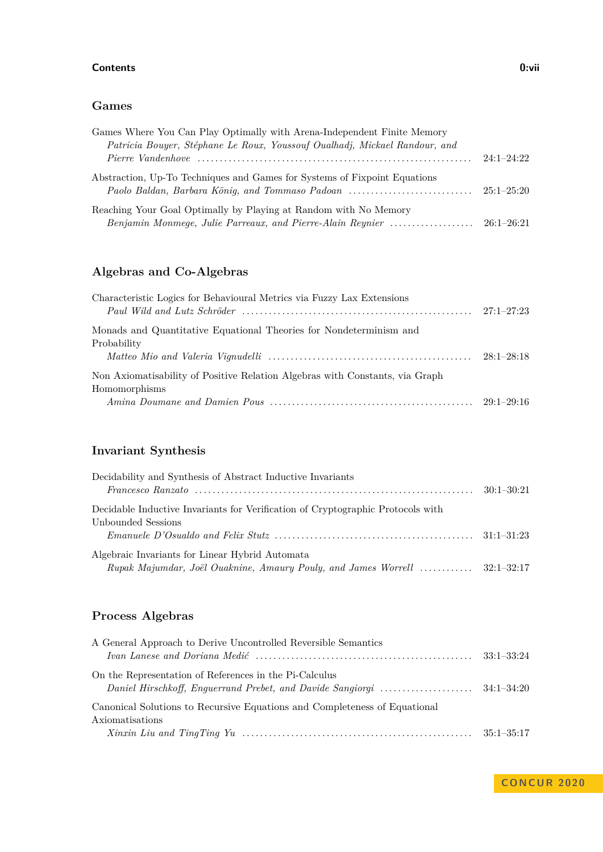#### **Contents 0:vii**

#### **Games**

| Games Where You Can Play Optimally with Arena-Independent Finite Memory    |                |
|----------------------------------------------------------------------------|----------------|
| Patricia Bouyer, Stéphane Le Roux, Youssouf Oualhadj, Mickael Randour, and |                |
|                                                                            | $24:1 - 24:22$ |
| Abstraction, Up-To Techniques and Games for Systems of Fixpoint Equations  |                |
|                                                                            |                |
| Reaching Your Goal Optimally by Playing at Random with No Memory           |                |
|                                                                            |                |

## **Algebras and Co-Algebras**

| Characteristic Logics for Behavioural Metrics via Fuzzy Lax Extensions                        | $27:1 - 27:23$ |
|-----------------------------------------------------------------------------------------------|----------------|
| Monads and Quantitative Equational Theories for Nondeterminism and<br>Probability             |                |
|                                                                                               | $28:1-28:18$   |
| Non Axiomatisability of Positive Relation Algebras with Constants, via Graph<br>Homomorphisms |                |
|                                                                                               |                |

# **Invariant Synthesis**

| Decidability and Synthesis of Abstract Inductive Invariants                                                                              |  |
|------------------------------------------------------------------------------------------------------------------------------------------|--|
|                                                                                                                                          |  |
| Decidable Inductive Invariants for Verification of Cryptographic Protocols with                                                          |  |
| Unbounded Sessions                                                                                                                       |  |
| $Emanuele\ D'Osualdo\ and\ Felix\ Stutz\ \ldots \ldots \ldots \ldots \ldots \ldots \ldots \ldots \ldots \ldots \ldots \qquad 31:1-31:23$ |  |
| Algebraic Invariants for Linear Hybrid Automata                                                                                          |  |
| Rupak Majumdar, Joël Ouaknine, Amaury Pouly, and James Worrell  32:1–32:17                                                               |  |

# **Process Algebras**

| A General Approach to Derive Uncontrolled Reversible Semantics            |  |
|---------------------------------------------------------------------------|--|
|                                                                           |  |
| On the Representation of References in the Pi-Calculus                    |  |
|                                                                           |  |
| Canonical Solutions to Recursive Equations and Completeness of Equational |  |
| Axiomatisations                                                           |  |
|                                                                           |  |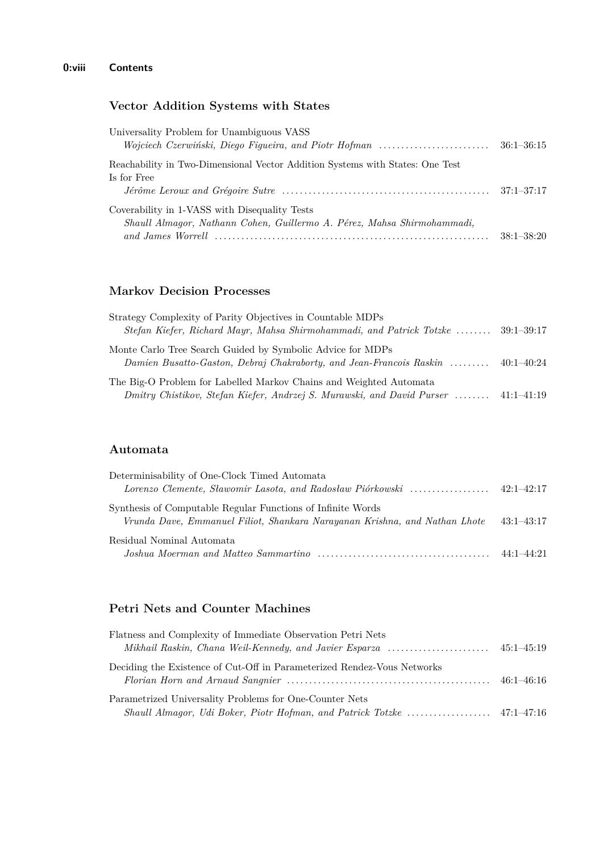### **Vector Addition Systems with States**

| Universality Problem for Unambiguous VASS                                     |                |
|-------------------------------------------------------------------------------|----------------|
| Wojciech Czerwiński, Diego Figueira, and Piotr Hofman                         | $36:1 - 36:15$ |
| Reachability in Two-Dimensional Vector Addition Systems with States: One Test |                |
| Is for Free                                                                   |                |
|                                                                               |                |
| Coverability in 1-VASS with Disequality Tests                                 |                |
| Shaull Almagor, Nathann Cohen, Guillermo A. Pérez, Mahsa Shirmohammadi,       |                |
|                                                                               | $38:1 - 38:20$ |

#### **Markov Decision Processes**

| Strategy Complexity of Parity Objectives in Countable MDPs                       |                |
|----------------------------------------------------------------------------------|----------------|
| Stefan Kiefer, Richard Mayr, Mahsa Shirmohammadi, and Patrick Totzke  39:1–39:17 |                |
| Monte Carlo Tree Search Guided by Symbolic Advice for MDPs                       |                |
| Damien Busatto-Gaston, Debraj Chakraborty, and Jean-Francois Raskin              | $40:1 - 40:24$ |
| The Big-O Problem for Labelled Markov Chains and Weighted Automata               |                |
| Dmitry Chistikov, Stefan Kiefer, Andrzej S. Murawski, and David Purser           | $41:1-41:19$   |

#### **Automata**

| Determinisability of One-Clock Timed Automata                                                                                             |                |
|-------------------------------------------------------------------------------------------------------------------------------------------|----------------|
|                                                                                                                                           |                |
| Synthesis of Computable Regular Functions of Infinite Words<br>Vrunda Dave, Emmanuel Filiot, Shankara Narayanan Krishna, and Nathan Lhote | $43:1 - 43:17$ |
| Residual Nominal Automata                                                                                                                 |                |
|                                                                                                                                           |                |

## **Petri Nets and Counter Machines**

| Flatness and Complexity of Immediate Observation Petri Nets                                                                                                                                                                |  |
|----------------------------------------------------------------------------------------------------------------------------------------------------------------------------------------------------------------------------|--|
|                                                                                                                                                                                                                            |  |
| Deciding the Existence of Cut-Off in Parameterized Rendez-Vous Networks<br>Florian Horn and Arnaud Sangnier $\ldots \ldots \ldots \ldots \ldots \ldots \ldots \ldots \ldots \ldots \ldots \ldots \ldots \qquad 46:1-46:16$ |  |
| Parametrized Universality Problems for One-Counter Nets                                                                                                                                                                    |  |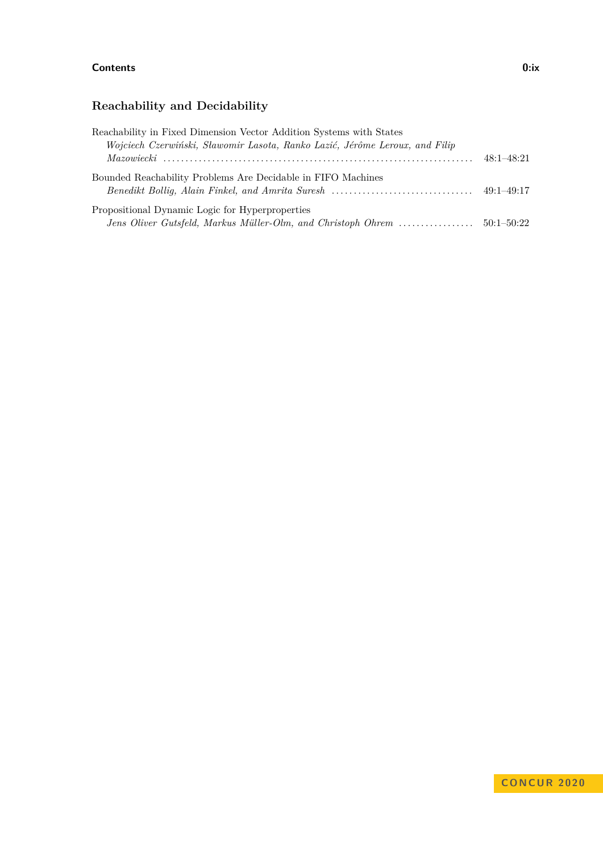#### **Contents 0:ix**

# **Reachability and Decidability**

| Reachability in Fixed Dimension Vector Addition Systems with States         |            |
|-----------------------------------------------------------------------------|------------|
| Wojciech Czerwiński, Sławomir Lasota, Ranko Lazić, Jérôme Leroux, and Filip |            |
|                                                                             | 48:1–48:21 |
| Bounded Reachability Problems Are Decidable in FIFO Machines                |            |
|                                                                             |            |
| Propositional Dynamic Logic for Hyperproperties                             |            |
|                                                                             |            |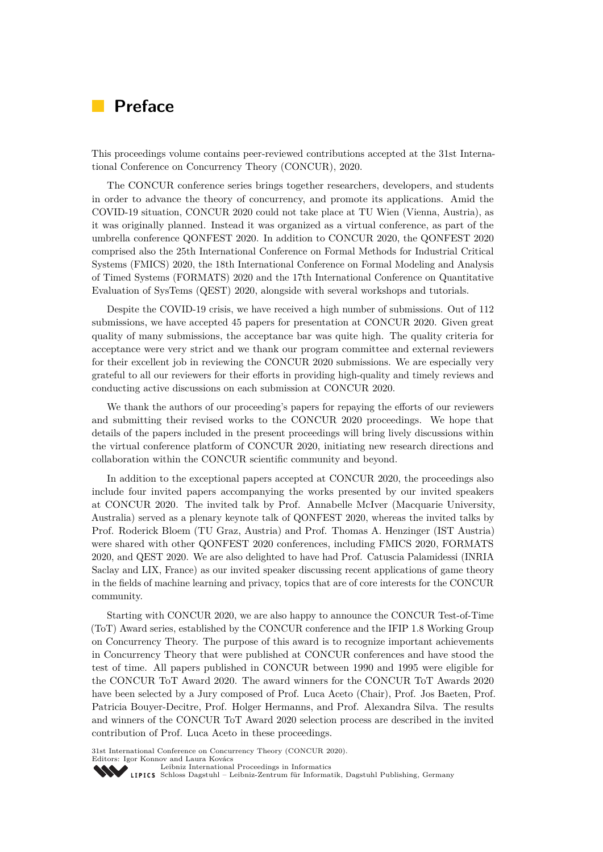# <span id="page-10-0"></span>**Preface**

This proceedings volume contains peer-reviewed contributions accepted at the 31st International Conference on Concurrency Theory (CONCUR), 2020.

The CONCUR conference series brings together researchers, developers, and students in order to advance the theory of concurrency, and promote its applications. Amid the COVID-19 situation, CONCUR 2020 could not take place at TU Wien (Vienna, Austria), as it was originally planned. Instead it was organized as a virtual conference, as part of the umbrella conference QONFEST 2020. In addition to CONCUR 2020, the QONFEST 2020 comprised also the 25th International Conference on Formal Methods for Industrial Critical Systems (FMICS) 2020, the 18th International Conference on Formal Modeling and Analysis of Timed Systems (FORMATS) 2020 and the 17th International Conference on Quantitative Evaluation of SysTems (QEST) 2020, alongside with several workshops and tutorials.

Despite the COVID-19 crisis, we have received a high number of submissions. Out of 112 submissions, we have accepted 45 papers for presentation at CONCUR 2020. Given great quality of many submissions, the acceptance bar was quite high. The quality criteria for acceptance were very strict and we thank our program committee and external reviewers for their excellent job in reviewing the CONCUR 2020 submissions. We are especially very grateful to all our reviewers for their efforts in providing high-quality and timely reviews and conducting active discussions on each submission at CONCUR 2020.

We thank the authors of our proceeding's papers for repaying the efforts of our reviewers and submitting their revised works to the CONCUR 2020 proceedings. We hope that details of the papers included in the present proceedings will bring lively discussions within the virtual conference platform of CONCUR 2020, initiating new research directions and collaboration within the CONCUR scientific community and beyond.

In addition to the exceptional papers accepted at CONCUR 2020, the proceedings also include four invited papers accompanying the works presented by our invited speakers at CONCUR 2020. The invited talk by Prof. Annabelle McIver (Macquarie University, Australia) served as a plenary keynote talk of QONFEST 2020, whereas the invited talks by Prof. Roderick Bloem (TU Graz, Austria) and Prof. Thomas A. Henzinger (IST Austria) were shared with other QONFEST 2020 conferences, including FMICS 2020, FORMATS 2020, and QEST 2020. We are also delighted to have had Prof. Catuscia Palamidessi (INRIA Saclay and LIX, France) as our invited speaker discussing recent applications of game theory in the fields of machine learning and privacy, topics that are of core interests for the CONCUR community.

Starting with CONCUR 2020, we are also happy to announce the CONCUR Test-of-Time (ToT) Award series, established by the CONCUR conference and the IFIP 1.8 Working Group on Concurrency Theory. The purpose of this award is to recognize important achievements in Concurrency Theory that were published at CONCUR conferences and have stood the test of time. All papers published in CONCUR between 1990 and 1995 were eligible for the CONCUR ToT Award 2020. The award winners for the CONCUR ToT Awards 2020 have been selected by a Jury composed of Prof. Luca Aceto (Chair), Prof. Jos Baeten, Prof. Patricia Bouyer-Decitre, Prof. Holger Hermanns, and Prof. Alexandra Silva. The results and winners of the CONCUR ToT Award 2020 selection process are described in the invited contribution of Prof. Luca Aceto in these proceedings.

31st International Conference on Concurrency Theory (CONCUR 2020). Editors: Igor Konnov and Laura Kovács

[Leibniz International Proceedings in Informatics](https://www.dagstuhl.de/lipics/)

Leibniz International Froceedings in miximatics<br>LIPICS [Schloss Dagstuhl – Leibniz-Zentrum für Informatik, Dagstuhl Publishing, Germany](https://www.dagstuhl.de)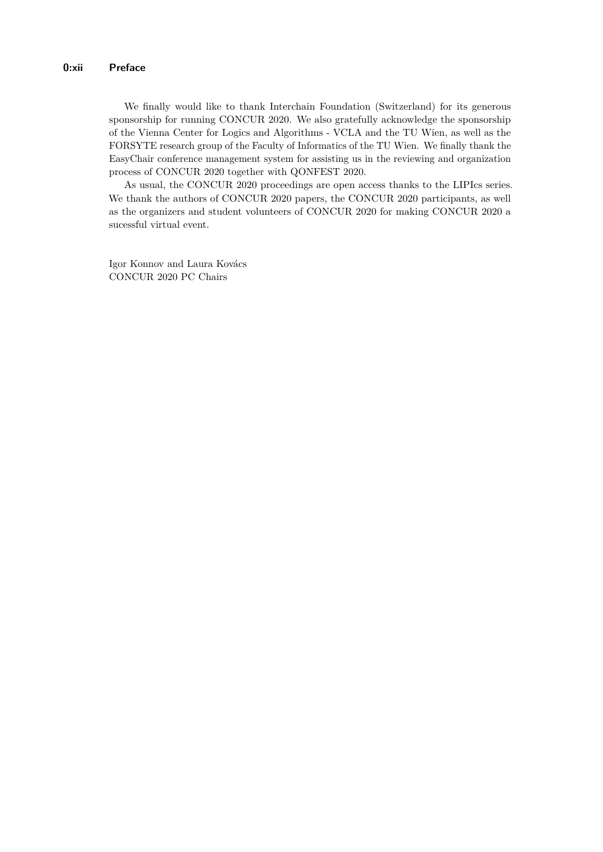We finally would like to thank Interchain Foundation (Switzerland) for its generous sponsorship for running CONCUR 2020. We also gratefully acknowledge the sponsorship of the Vienna Center for Logics and Algorithms - VCLA and the TU Wien, as well as the FORSYTE research group of the Faculty of Informatics of the TU Wien. We finally thank the EasyChair conference management system for assisting us in the reviewing and organization process of CONCUR 2020 together with QONFEST 2020.

As usual, the CONCUR 2020 proceedings are open access thanks to the LIPIcs series. We thank the authors of CONCUR 2020 papers, the CONCUR 2020 participants, as well as the organizers and student volunteers of CONCUR 2020 for making CONCUR 2020 a sucessful virtual event.

Igor Konnov and Laura Kovács CONCUR 2020 PC Chairs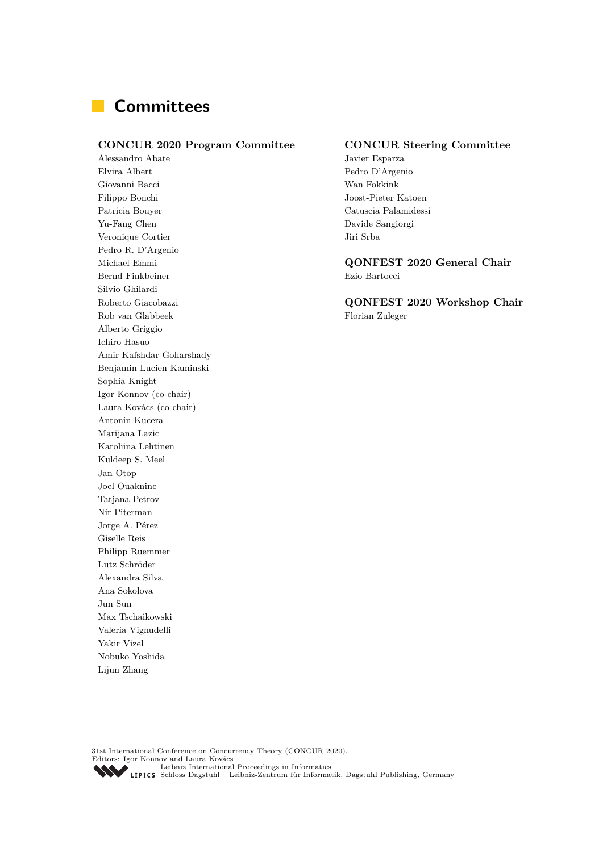# **Committees**

#### **CONCUR 2020 Program Committee CONCUR Steering Committee**

Alessandro Abate Javier Esparza Elvira Albert Pedro D'Argenio Giovanni Bacci Wan Fokkink Filippo Bonchi Joost-Pieter Katoen Patricia Bouyer Catuscia Palamidessi Yu-Fang Chen Davide Sangiorgi Veronique Cortier Jiri Srba Pedro R. D'Argenio Bernd Finkbeiner Ezio Bartocci Silvio Ghilardi Rob van Glabbeek Florian Zuleger Alberto Griggio Ichiro Hasuo Amir Kafshdar Goharshady Benjamin Lucien Kaminski Sophia Knight Igor Konnov (co-chair) Laura Kovács (co-chair) Antonin Kucera Marijana Lazic Karoliina Lehtinen Kuldeep S. Meel Jan Otop Joel Ouaknine Tatjana Petrov Nir Piterman Jorge A. Pérez Giselle Reis Philipp Ruemmer Lutz Schröder Alexandra Silva Ana Sokolova Jun Sun Max Tschaikowski Valeria Vignudelli Yakir Vizel Nobuko Yoshida Lijun Zhang

Michael Emmi **QONFEST 2020 General Chair**

Roberto Giacobazzi **QONFEST 2020 Workshop Chair**

31st International Conference on Concurrency Theory (CONCUR 2020). Editors: Igor Konnov and Laura Kovács [Leibniz International Proceedings in Informatics](https://www.dagstuhl.de/lipics/) [Schloss Dagstuhl – Leibniz-Zentrum für Informatik, Dagstuhl Publishing, Germany](https://www.dagstuhl.de)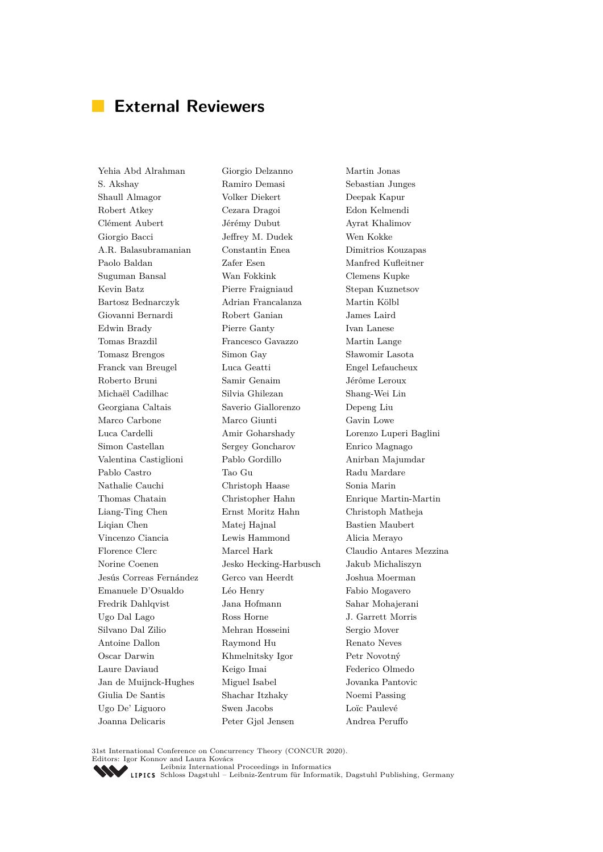# **External Reviewers**

Yehia Abd Alrahman S. Akshay Shaull Almagor Robert Atkey Clément Aubert Giorgio Bacci A.R. Balasubramanian Paolo Baldan Suguman Bansal Kevin Batz Bartosz Bednarczyk Giovanni Bernardi Edwin Brady Tomas Brazdil Tomasz Brengos Franck van Breugel Roberto Bruni Michaël Cadilhac Georgiana Caltais Marco Carbone Luca Cardelli Simon Castellan Valentina Castiglioni Pablo Castro Nathalie Cauchi Thomas Chatain Liang-Ting Chen Liqian Chen Vincenzo Ciancia Florence Clerc Norine Coenen Jesús Correas Fernández Emanuele D'Osualdo Fredrik Dahlqvist Ugo Dal Lago Silvano Dal Zilio Antoine Dallon Oscar Darwin Laure Daviaud Jan de Muijnck-Hughes Giulia De Santis Ugo De' Liguoro Joanna Delicaris

Giorgio Delzanno Ramiro Demasi Volker Diekert Cezara Dragoi Jérémy Dubut Jeffrey M. Dudek Constantin Enea Zafer Esen Wan Fokkink Pierre Fraigniaud Adrian Francalanza Robert Ganian Pierre Ganty Francesco Gavazzo Simon Gay Luca Geatti Samir Genaim Silvia Ghilezan Saverio Giallorenzo Marco Giunti Amir Goharshady Sergey Goncharov Pablo Gordillo Tao Gu Christoph Haase Christopher Hahn Ernst Moritz Hahn Matej Hajnal Lewis Hammond Marcel Hark Jesko Hecking-Harbusch Gerco van Heerdt Léo Henry Jana Hofmann Ross Horne Mehran Hosseini Raymond Hu Khmelnitsky Igor Keigo Imai Miguel Isabel Shachar Itzhaky Swen Jacobs Peter Gjøl Jensen

Martin Jonas Sebastian Junges Deepak Kapur Edon Kelmendi Ayrat Khalimov Wen Kokke Dimitrios Kouzapas Manfred Kufleitner Clemens Kupke Stepan Kuznetsov Martin Kölbl James Laird Ivan Lanese Martin Lange Sławomir Lasota Engel Lefaucheux Jérôme Leroux Shang-Wei Lin Depeng Liu Gavin Lowe Lorenzo Luperi Baglini Enrico Magnago Anirban Majumdar Radu Mardare Sonia Marin Enrique Martin-Martin Christoph Matheja Bastien Maubert Alicia Merayo Claudio Antares Mezzina Jakub Michaliszyn Joshua Moerman Fabio Mogavero Sahar Mohajerani J. Garrett Morris Sergio Mover Renato Neves Petr Novotný Federico Olmedo Jovanka Pantovic Noemi Passing Loïc Paulevé Andrea Peruffo

31st International Conference on Concurrency Theory (CONCUR 2020). Editors: Igor Konnov and Laura Kovács

[Leibniz International Proceedings in Informatics](https://www.dagstuhl.de/lipics/)

[Schloss Dagstuhl – Leibniz-Zentrum für Informatik, Dagstuhl Publishing, Germany](https://www.dagstuhl.de)